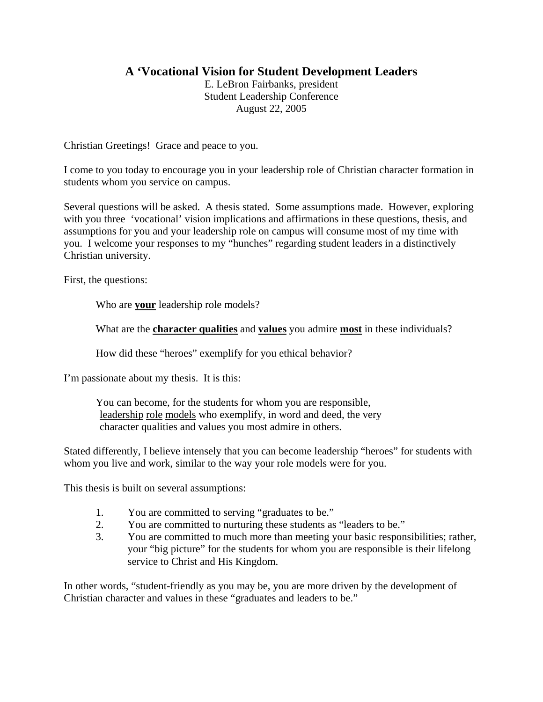# **A 'Vocational Vision for Student Development Leaders**

E. LeBron Fairbanks, president Student Leadership Conference August 22, 2005

Christian Greetings! Grace and peace to you.

I come to you today to encourage you in your leadership role of Christian character formation in students whom you service on campus.

Several questions will be asked. A thesis stated. Some assumptions made. However, exploring with you three 'vocational' vision implications and affirmations in these questions, thesis, and assumptions for you and your leadership role on campus will consume most of my time with you. I welcome your responses to my "hunches" regarding student leaders in a distinctively Christian university.

First, the questions:

Who are **your** leadership role models?

What are the **character qualities** and **values** you admire **most** in these individuals?

How did these "heroes" exemplify for you ethical behavior?

I'm passionate about my thesis. It is this:

You can become, for the students for whom you are responsible, leadership role models who exemplify, in word and deed, the very character qualities and values you most admire in others.

Stated differently, I believe intensely that you can become leadership "heroes" for students with whom you live and work, similar to the way your role models were for you.

This thesis is built on several assumptions:

- 1. You are committed to serving "graduates to be."
- 2. You are committed to nurturing these students as "leaders to be."
- 3. You are committed to much more than meeting your basic responsibilities; rather, your "big picture" for the students for whom you are responsible is their lifelong service to Christ and His Kingdom.

In other words, "student-friendly as you may be, you are more driven by the development of Christian character and values in these "graduates and leaders to be."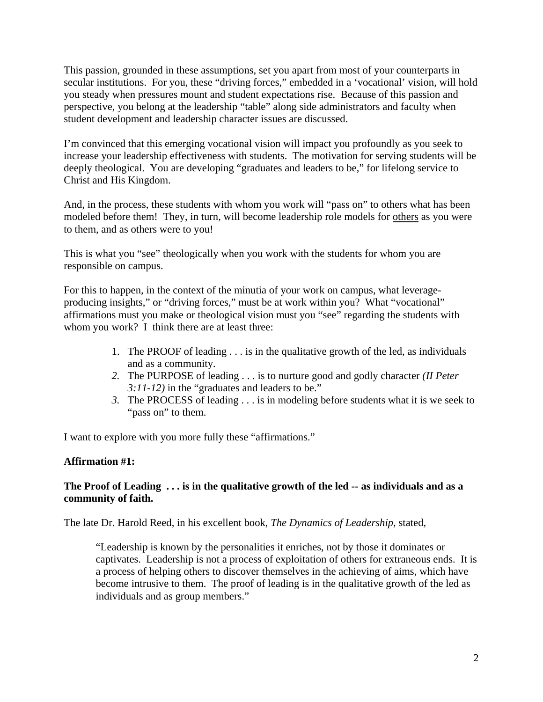This passion, grounded in these assumptions, set you apart from most of your counterparts in secular institutions. For you, these "driving forces," embedded in a 'vocational' vision, will hold you steady when pressures mount and student expectations rise. Because of this passion and perspective, you belong at the leadership "table" along side administrators and faculty when student development and leadership character issues are discussed.

I'm convinced that this emerging vocational vision will impact you profoundly as you seek to increase your leadership effectiveness with students. The motivation for serving students will be deeply theological. You are developing "graduates and leaders to be," for lifelong service to Christ and His Kingdom.

And, in the process, these students with whom you work will "pass on" to others what has been modeled before them! They, in turn, will become leadership role models for others as you were to them, and as others were to you!

This is what you "see" theologically when you work with the students for whom you are responsible on campus.

For this to happen, in the context of the minutia of your work on campus, what leverageproducing insights," or "driving forces," must be at work within you? What "vocational" affirmations must you make or theological vision must you "see" regarding the students with whom you work? I think there are at least three:

- 1. The PROOF of leading . . . is in the qualitative growth of the led, as individuals and as a community.
- *2.* The PURPOSE of leading . . . is to nurture good and godly character *(II Peter 3:11-12)* in the "graduates and leaders to be."
- *3.* The PROCESS of leading . . . is in modeling before students what it is we seek to "pass on" to them.

I want to explore with you more fully these "affirmations."

### **Affirmation #1:**

### **The Proof of Leading . . . is in the qualitative growth of the led -- as individuals and as a community of faith.**

The late Dr. Harold Reed, in his excellent book, *The Dynamics of Leadership*, stated,

"Leadership is known by the personalities it enriches, not by those it dominates or captivates. Leadership is not a process of exploitation of others for extraneous ends. It is a process of helping others to discover themselves in the achieving of aims, which have become intrusive to them. The proof of leading is in the qualitative growth of the led as individuals and as group members."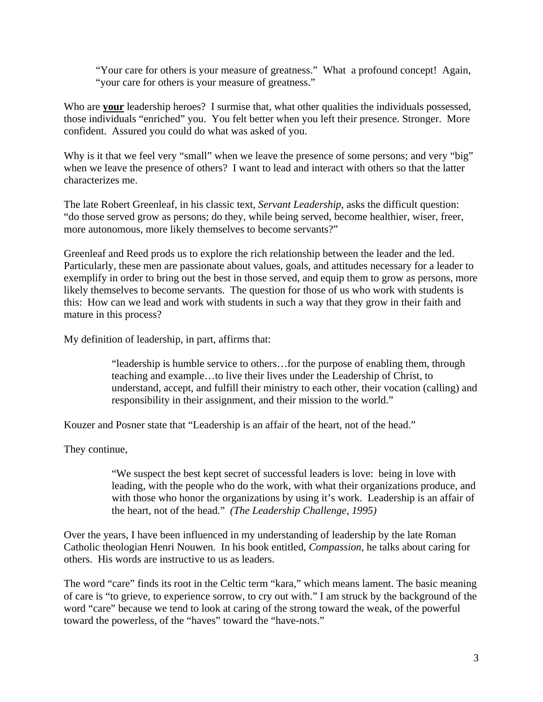"Your care for others is your measure of greatness." What a profound concept! Again, "your care for others is your measure of greatness."

Who are **your** leadership heroes? I surmise that, what other qualities the individuals possessed, those individuals "enriched" you. You felt better when you left their presence. Stronger. More confident. Assured you could do what was asked of you.

Why is it that we feel very "small" when we leave the presence of some persons; and very "big" when we leave the presence of others? I want to lead and interact with others so that the latter characterizes me.

The late Robert Greenleaf, in his classic text, *Servant Leadership*, asks the difficult question: "do those served grow as persons; do they, while being served, become healthier, wiser, freer, more autonomous, more likely themselves to become servants?"

Greenleaf and Reed prods us to explore the rich relationship between the leader and the led. Particularly, these men are passionate about values, goals, and attitudes necessary for a leader to exemplify in order to bring out the best in those served, and equip them to grow as persons, more likely themselves to become servants. The question for those of us who work with students is this: How can we lead and work with students in such a way that they grow in their faith and mature in this process?

My definition of leadership, in part, affirms that:

"leadership is humble service to others…for the purpose of enabling them, through teaching and example…to live their lives under the Leadership of Christ, to understand, accept, and fulfill their ministry to each other, their vocation (calling) and responsibility in their assignment, and their mission to the world."

Kouzer and Posner state that "Leadership is an affair of the heart, not of the head."

They continue,

"We suspect the best kept secret of successful leaders is love: being in love with leading, with the people who do the work, with what their organizations produce, and with those who honor the organizations by using it's work. Leadership is an affair of the heart, not of the head." *(The Leadership Challenge, 1995)* 

Over the years, I have been influenced in my understanding of leadership by the late Roman Catholic theologian Henri Nouwen. In his book entitled, *Compassion,* he talks about caring for others. His words are instructive to us as leaders.

The word "care" finds its root in the Celtic term "kara," which means lament. The basic meaning of care is "to grieve, to experience sorrow, to cry out with." I am struck by the background of the word "care" because we tend to look at caring of the strong toward the weak, of the powerful toward the powerless, of the "haves" toward the "have-nots."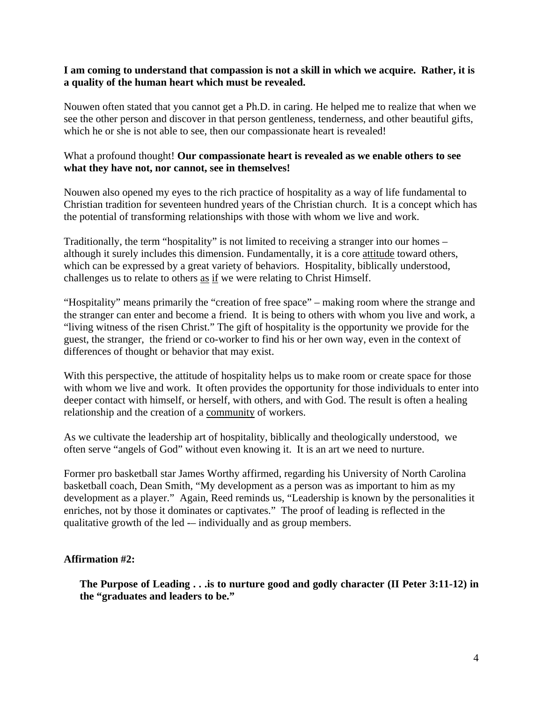#### **I am coming to understand that compassion is not a skill in which we acquire. Rather, it is a quality of the human heart which must be revealed.**

Nouwen often stated that you cannot get a Ph.D. in caring. He helped me to realize that when we see the other person and discover in that person gentleness, tenderness, and other beautiful gifts, which he or she is not able to see, then our compassionate heart is revealed!

#### What a profound thought! **Our compassionate heart is revealed as we enable others to see what they have not, nor cannot, see in themselves!**

Nouwen also opened my eyes to the rich practice of hospitality as a way of life fundamental to Christian tradition for seventeen hundred years of the Christian church. It is a concept which has the potential of transforming relationships with those with whom we live and work.

Traditionally, the term "hospitality" is not limited to receiving a stranger into our homes – although it surely includes this dimension. Fundamentally, it is a core attitude toward others, which can be expressed by a great variety of behaviors. Hospitality, biblically understood, challenges us to relate to others as if we were relating to Christ Himself.

"Hospitality" means primarily the "creation of free space" – making room where the strange and the stranger can enter and become a friend. It is being to others with whom you live and work, a "living witness of the risen Christ." The gift of hospitality is the opportunity we provide for the guest, the stranger, the friend or co-worker to find his or her own way, even in the context of differences of thought or behavior that may exist.

With this perspective, the attitude of hospitality helps us to make room or create space for those with whom we live and work. It often provides the opportunity for those individuals to enter into deeper contact with himself, or herself, with others, and with God. The result is often a healing relationship and the creation of a community of workers.

As we cultivate the leadership art of hospitality, biblically and theologically understood, we often serve "angels of God" without even knowing it. It is an art we need to nurture.

Former pro basketball star James Worthy affirmed, regarding his University of North Carolina basketball coach, Dean Smith, "My development as a person was as important to him as my development as a player." Again, Reed reminds us, "Leadership is known by the personalities it enriches, not by those it dominates or captivates." The proof of leading is reflected in the qualitative growth of the led -– individually and as group members.

#### **Affirmation #2:**

**The Purpose of Leading . . .is to nurture good and godly character (II Peter 3:11-12) in the "graduates and leaders to be."**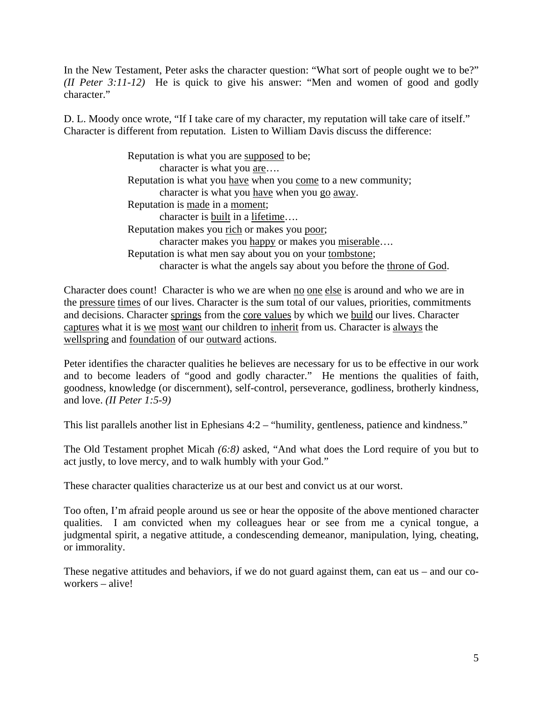In the New Testament, Peter asks the character question: "What sort of people ought we to be?" *(II Peter 3:11-12)* He is quick to give his answer: "Men and women of good and godly character."

D. L. Moody once wrote, "If I take care of my character, my reputation will take care of itself." Character is different from reputation. Listen to William Davis discuss the difference:

> Reputation is what you are supposed to be; character is what you are…. Reputation is what you have when you come to a new community; character is what you have when you go away. Reputation is made in a moment; character is built in a lifetime…. Reputation makes you rich or makes you poor; character makes you happy or makes you miserable…. Reputation is what men say about you on your tombstone; character is what the angels say about you before the throne of God.

Character does count! Character is who we are when <u>no one else</u> is around and who we are in the pressure times of our lives. Character is the sum total of our values, priorities, commitments and decisions. Character springs from the core values by which we build our lives. Character captures what it is we most want our children to inherit from us. Character is always the wellspring and foundation of our outward actions.

Peter identifies the character qualities he believes are necessary for us to be effective in our work and to become leaders of "good and godly character." He mentions the qualities of faith, goodness, knowledge (or discernment), self-control, perseverance, godliness, brotherly kindness, and love. *(II Peter 1:5-9)*

This list parallels another list in Ephesians 4:2 – "humility, gentleness, patience and kindness."

The Old Testament prophet Micah *(6:8)* asked, "And what does the Lord require of you but to act justly, to love mercy, and to walk humbly with your God."

These character qualities characterize us at our best and convict us at our worst.

Too often, I'm afraid people around us see or hear the opposite of the above mentioned character qualities. I am convicted when my colleagues hear or see from me a cynical tongue, a judgmental spirit, a negative attitude, a condescending demeanor, manipulation, lying, cheating, or immorality.

These negative attitudes and behaviors, if we do not guard against them, can eat us – and our coworkers – alive!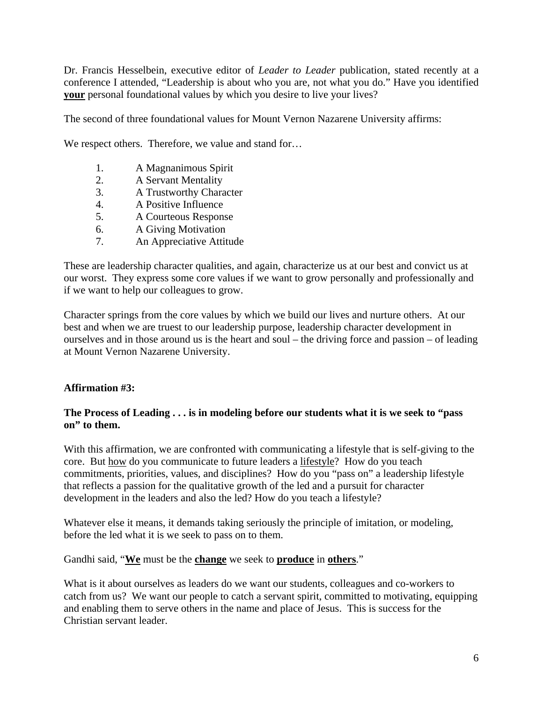Dr. Francis Hesselbein, executive editor of *Leader to Leader* publication, stated recently at a conference I attended, "Leadership is about who you are, not what you do." Have you identified **your** personal foundational values by which you desire to live your lives?

The second of three foundational values for Mount Vernon Nazarene University affirms:

We respect others. Therefore, we value and stand for...

- 1. A Magnanimous Spirit
- 2. A Servant Mentality
- 3. A Trustworthy Character
- 4. A Positive Influence
- 5. A Courteous Response
- 6. A Giving Motivation
- 7. An Appreciative Attitude

These are leadership character qualities, and again, characterize us at our best and convict us at our worst. They express some core values if we want to grow personally and professionally and if we want to help our colleagues to grow.

Character springs from the core values by which we build our lives and nurture others. At our best and when we are truest to our leadership purpose, leadership character development in ourselves and in those around us is the heart and soul – the driving force and passion – of leading at Mount Vernon Nazarene University.

## **Affirmation #3:**

### **The Process of Leading . . . is in modeling before our students what it is we seek to "pass on" to them.**

With this affirmation, we are confronted with communicating a lifestyle that is self-giving to the core. But how do you communicate to future leaders a lifestyle? How do you teach commitments, priorities, values, and disciplines? How do you "pass on" a leadership lifestyle that reflects a passion for the qualitative growth of the led and a pursuit for character development in the leaders and also the led? How do you teach a lifestyle?

Whatever else it means, it demands taking seriously the principle of imitation, or modeling, before the led what it is we seek to pass on to them.

### Gandhi said, "**We** must be the **change** we seek to **produce** in **others**."

What is it about ourselves as leaders do we want our students, colleagues and co-workers to catch from us? We want our people to catch a servant spirit, committed to motivating, equipping and enabling them to serve others in the name and place of Jesus. This is success for the Christian servant leader.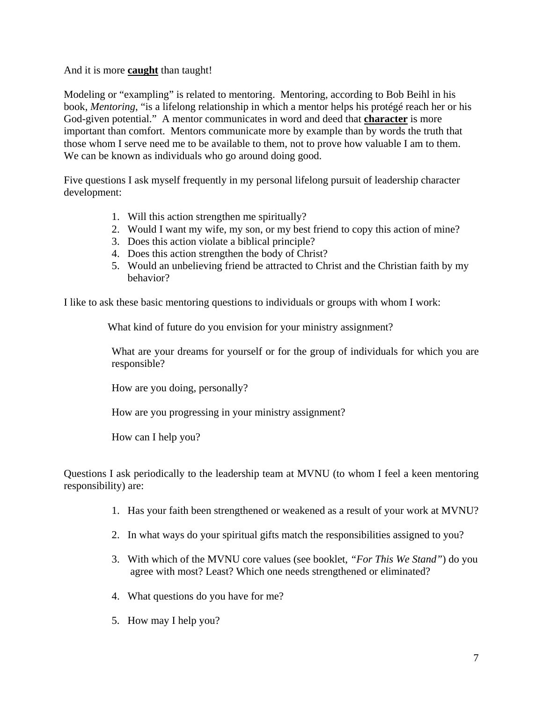And it is more **caught** than taught!

Modeling or "exampling" is related to mentoring. Mentoring, according to Bob Beihl in his book, *Mentoring*, "is a lifelong relationship in which a mentor helps his protégé reach her or his God-given potential." A mentor communicates in word and deed that **character** is more important than comfort. Mentors communicate more by example than by words the truth that those whom I serve need me to be available to them, not to prove how valuable I am to them. We can be known as individuals who go around doing good.

Five questions I ask myself frequently in my personal lifelong pursuit of leadership character development:

- 1. Will this action strengthen me spiritually?
- 2. Would I want my wife, my son, or my best friend to copy this action of mine?
- 3. Does this action violate a biblical principle?
- 4. Does this action strengthen the body of Christ?
- 5. Would an unbelieving friend be attracted to Christ and the Christian faith by my behavior?

I like to ask these basic mentoring questions to individuals or groups with whom I work:

What kind of future do you envision for your ministry assignment?

What are your dreams for yourself or for the group of individuals for which you are responsible?

How are you doing, personally?

How are you progressing in your ministry assignment?

How can I help you?

Questions I ask periodically to the leadership team at MVNU (to whom I feel a keen mentoring responsibility) are:

- 1. Has your faith been strengthened or weakened as a result of your work at MVNU?
- 2. In what ways do your spiritual gifts match the responsibilities assigned to you?
- 3. With which of the MVNU core values (see booklet, *"For This We Stand"*) do you agree with most? Least? Which one needs strengthened or eliminated?
- 4. What questions do you have for me?
- 5. How may I help you?